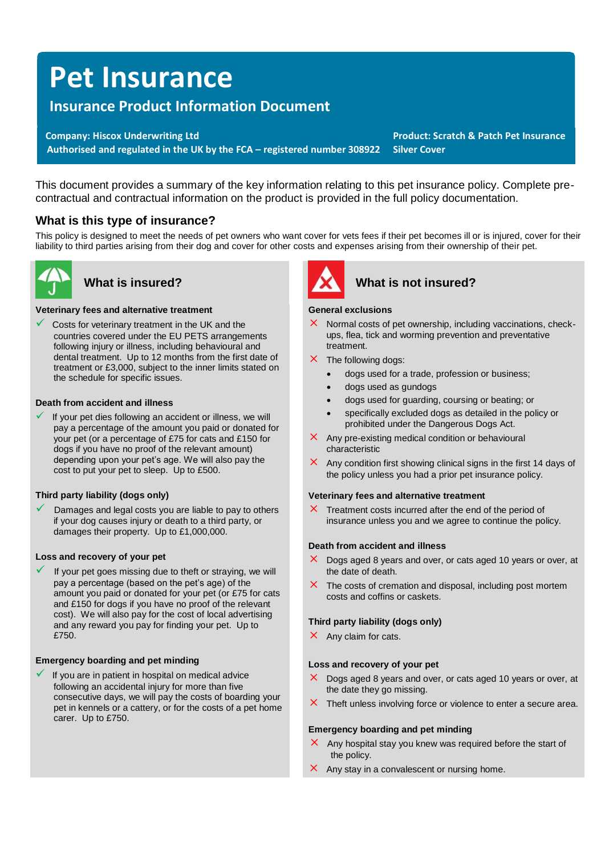# **Pet Insurance**

# **Insurance Product Information Document**

**Company: Hiscox Underwriting Ltd Product: Scratch & Patch Pet Insurance Product: Scratch & Patch Pet Insurance Authorised and regulated in the UK by the FCA – registered number 308922 Silver Cover**

This document provides a summary of the key information relating to this pet insurance policy. Complete precontractual and contractual information on the product is provided in the full policy documentation.

# **What is this type of insurance?**

This policy is designed to meet the needs of pet owners who want cover for vets fees if their pet becomes ill or is injured, cover for their liability to third parties arising from their dog and cover for other costs and expenses arising from their ownership of their pet.



#### **Veterinary fees and alternative treatment**

Costs for veterinary treatment in the UK and the countries covered under the EU PETS arrangements following injury or illness, including behavioural and dental treatment. Up to 12 months from the first date of treatment or £3,000, subject to the inner limits stated on the schedule for specific issues.

#### **Death from accident and illness**

If your pet dies following an accident or illness, we will pay a percentage of the amount you paid or donated for your pet (or a percentage of £75 for cats and £150 for dogs if you have no proof of the relevant amount) depending upon your pet's age. We will also pay the cost to put your pet to sleep. Up to £500.

#### **Third party liability (dogs only)**

Damages and legal costs you are liable to pay to others if your dog causes injury or death to a third party, or damages their property. Up to £1,000,000.

#### **Loss and recovery of your pet**

If your pet goes missing due to theft or straying, we will pay a percentage (based on the pet's age) of the amount you paid or donated for your pet (or £75 for cats and £150 for dogs if you have no proof of the relevant cost). We will also pay for the cost of local advertising and any reward you pay for finding your pet. Up to £750

#### **Emergency boarding and pet minding**

If you are in patient in hospital on medical advice following an accidental injury for more than five consecutive days, we will pay the costs of boarding your pet in kennels or a cattery, or for the costs of a pet home carer. Up to £750.



# **What is insured? What is not insured?**

#### **General exclusions**

- $\times$  Normal costs of pet ownership, including vaccinations, checkups, flea, tick and worming prevention and preventative treatment.
- $X$  The following dogs:
	- dogs used for a trade, profession or business;
	- dogs used as gundogs
	- dogs used for guarding, coursing or beating; or
	- specifically excluded dogs as detailed in the policy or prohibited under the Dangerous Dogs Act.
- $\times$  Any pre-existing medical condition or behavioural characteristic
- $\times$  Any condition first showing clinical signs in the first 14 days of the policy unless you had a prior pet insurance policy.

#### **Veterinary fees and alternative treatment**

 $\times$  Treatment costs incurred after the end of the period of insurance unless you and we agree to continue the policy.

#### **Death from accident and illness**

- $\times$  Dogs aged 8 years and over, or cats aged 10 years or over, at the date of death.
- $\times$  The costs of cremation and disposal, including post mortem costs and coffins or caskets.

#### **Third party liability (dogs only)**

 $\times$  Any claim for cats.

#### **Loss and recovery of your pet**

- $\times$  Dogs aged 8 years and over, or cats aged 10 years or over, at the date they go missing.
- $\times$  Theft unless involving force or violence to enter a secure area.

#### **Emergency boarding and pet minding**

- $\times$  Any hospital stay you knew was required before the start of the policy.
- $\times$  Any stay in a convalescent or nursing home.